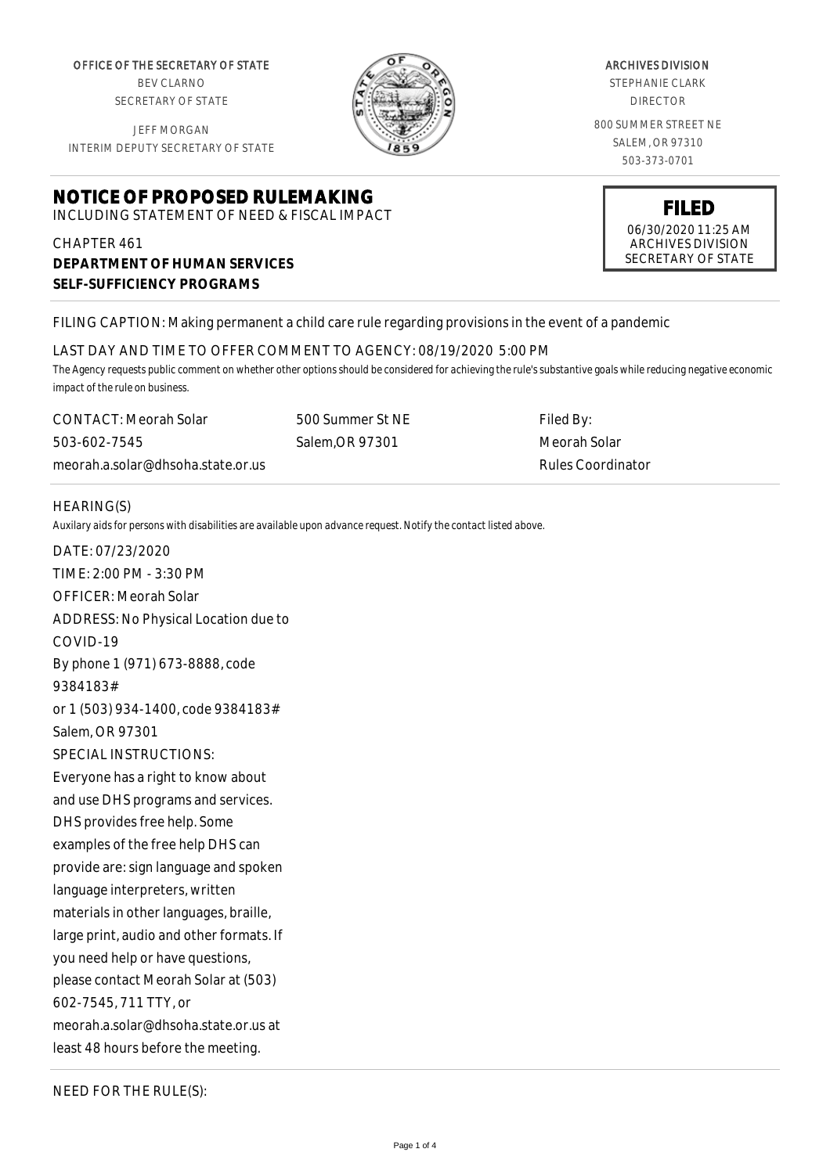OFFICE OF THE SECRETARY OF STATE BEV CLARNO

SECRETARY OF STATE

JEFF MORGAN INTERIM DEPUTY SECRETARY OF STATE

# **NOTICE OF PROPOSED RULEMAKING**

INCLUDING STATEMENT OF NEED & FISCAL IMPACT

# CHAPTER 461 **DEPARTMENT OF HUMAN SERVICES SELF-SUFFICIENCY PROGRAMS**

ARCHIVES DIVISION STEPHANIE CLARK DIRECTOR

800 SUMMER STREET NE SALEM, OR 97310 503-373-0701



## FILING CAPTION: Making permanent a child care rule regarding provisions in the event of a pandemic

#### LAST DAY AND TIME TO OFFER COMMENT TO AGENCY: 08/19/2020 5:00 PM

*The Agency requests public comment on whether other options should be considered for achieving the rule's substantive goals while reducing negative economic impact of the rule on business.*

CONTACT: Meorah Solar 503-602-7545 meorah.a.solar@dhsoha.state.or.us 500 Summer St NE Salem,OR 97301

Filed By: Meorah Solar Rules Coordinator

#### HEARING(S)

*Auxilary aids for persons with disabilities are available upon advance request. Notify the contact listed above.*

DATE: 07/23/2020 TIME: 2:00 PM - 3:30 PM OFFICER: Meorah Solar ADDRESS: No Physical Location due to COVID-19 By phone 1 (971) 673-8888, code 9384183# or 1 (503) 934-1400, code 9384183# Salem, OR 97301 SPECIAL INSTRUCTIONS: Everyone has a right to know about and use DHS programs and services. DHS provides free help. Some examples of the free help DHS can provide are: sign language and spoken language interpreters, written materials in other languages, braille, large print, audio and other formats. If you need help or have questions, please contact Meorah Solar at (503) 602-7545, 711 TTY, or meorah.a.solar@dhsoha.state.or.us at least 48 hours before the meeting.

NEED FOR THE RULE(S):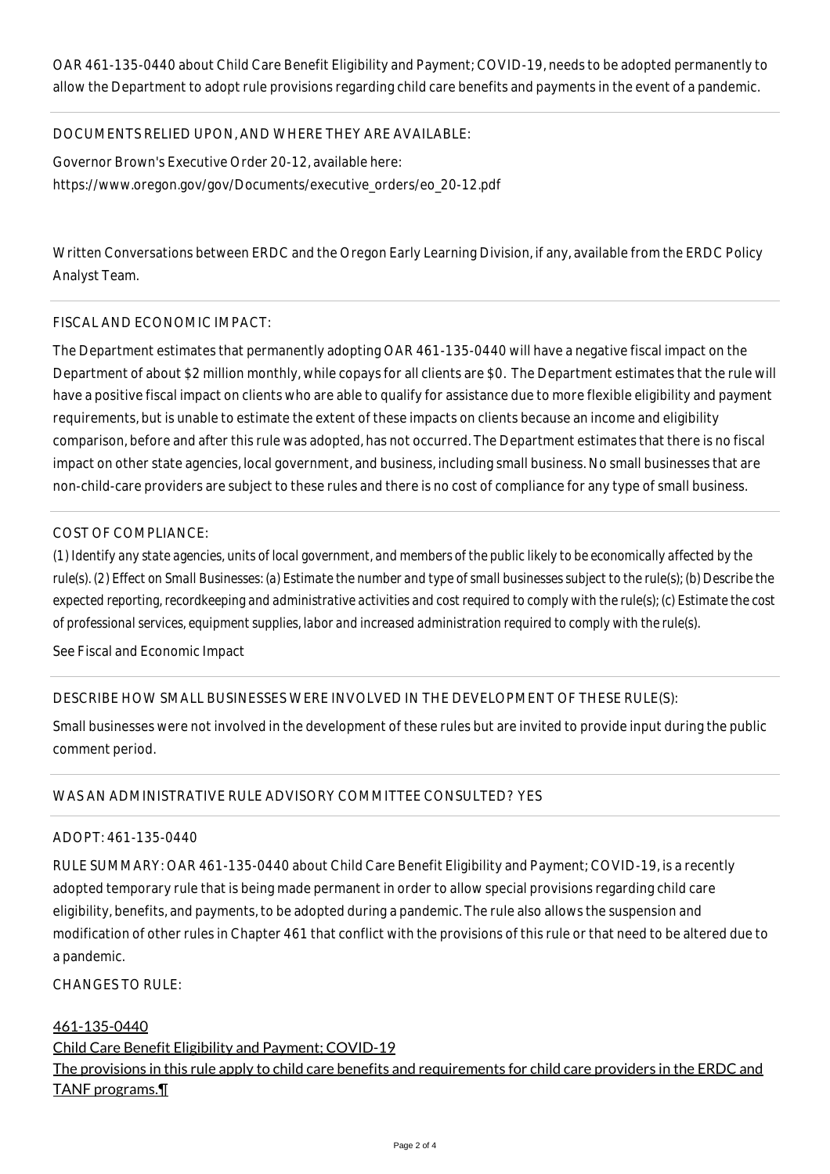OAR 461-135-0440 about Child Care Benefit Eligibility and Payment; COVID-19, needs to be adopted permanently to allow the Department to adopt rule provisions regarding child care benefits and payments in the event of a pandemic.

# DOCUMENTS RELIED UPON, AND WHERE THEY ARE AVAILABLE:

Governor Brown's Executive Order 20-12, available here: https://www.oregon.gov/gov/Documents/executive\_orders/eo\_20-12.pdf

Written Conversations between ERDC and the Oregon Early Learning Division, if any, available from the ERDC Policy Analyst Team.

#### FISCAL AND ECONOMIC IMPACT:

The Department estimates that permanently adopting OAR 461-135-0440 will have a negative fiscal impact on the Department of about \$2 million monthly, while copays for all clients are \$0. The Department estimates that the rule will have a positive fiscal impact on clients who are able to qualify for assistance due to more flexible eligibility and payment requirements, but is unable to estimate the extent of these impacts on clients because an income and eligibility comparison, before and after this rule was adopted, has not occurred. The Department estimates that there is no fiscal impact on other state agencies, local government, and business, including small business. No small businesses that are non-child-care providers are subject to these rules and there is no cost of compliance for any type of small business.

## COST OF COMPLIANCE:

*(1) Identify any state agencies, units of local government, and members of the public likely to be economically affected by the rule(s). (2) Effect on Small Businesses: (a) Estimate the number and type of small businesses subject to the rule(s); (b) Describe the expected reporting, recordkeeping and administrative activities and cost required to comply with the rule(s); (c) Estimate the cost of professional services, equipment supplies, labor and increased administration required to comply with the rule(s).*

See Fiscal and Economic Impact

## DESCRIBE HOW SMALL BUSINESSES WERE INVOLVED IN THE DEVELOPMENT OF THESE RULE(S):

Small businesses were not involved in the development of these rules but are invited to provide input during the public comment period.

# WAS AN ADMINISTRATIVE RULE ADVISORY COMMITTEE CONSULTED? YES

#### ADOPT: 461-135-0440

RULE SUMMARY: OAR 461-135-0440 about Child Care Benefit Eligibility and Payment; COVID-19, is a recently adopted temporary rule that is being made permanent in order to allow special provisions regarding child care eligibility, benefits, and payments, to be adopted during a pandemic. The rule also allows the suspension and modification of other rules in Chapter 461 that conflict with the provisions of this rule or that need to be altered due to a pandemic.

CHANGES TO RULE:

#### 461-135-0440

Child Care Benefit Eligibility and Payment; COVID-19 The provisions in this rule apply to child care benefits and requirements for child care providers in the ERDC and TANF programs.¶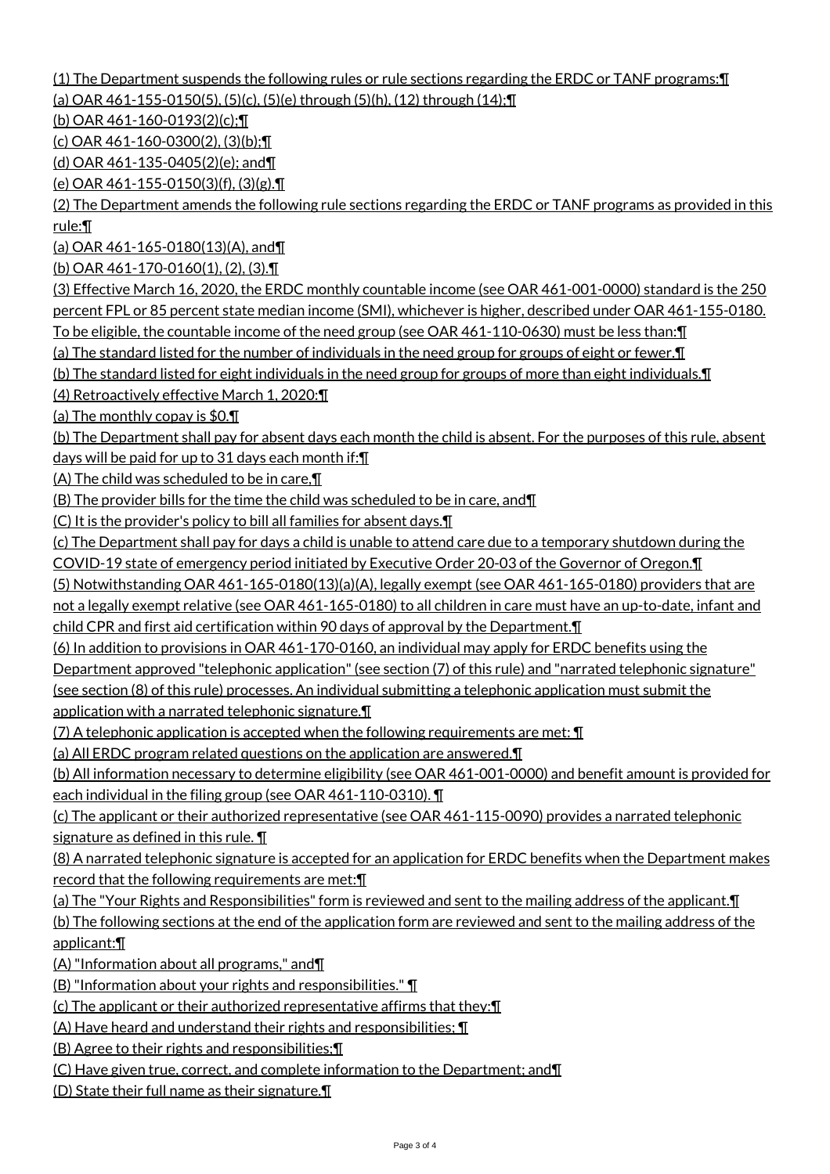(1) The Department suspends the following rules or rule sections regarding the ERDC or TANF programs:¶ (a) OAR 461-155-0150(5), (5)(c), (5)(e) through (5)(h), (12) through (14);¶

(b) OAR 461-160-0193(2)(c);¶

(c) OAR 461-160-0300(2), (3)(b);¶

(d) OAR 461-135-0405(2)(e); and¶

(e) OAR 461-155-0150(3)(f), (3)(g).¶

(2) The Department amends the following rule sections regarding the ERDC or TANF programs as provided in this rule:¶

(a) OAR 461-165-0180(13)(A), and¶

(b) OAR 461-170-0160(1), (2), (3).¶

(3) Effective March 16, 2020, the ERDC monthly countable income (see OAR 461-001-0000) standard is the 250 percent FPL or 85 percent state median income (SMI), whichever is higher, described under OAR 461-155-0180. To be eligible, the countable income of the need group (see OAR 461-110-0630) must be less than:¶

(a) The standard listed for the number of individuals in the need group for groups of eight or fewer.¶

(b) The standard listed for eight individuals in the need group for groups of more than eight individuals.¶

(4) Retroactively effective March 1, 2020:¶

(a) The monthly copay is \$0.¶

(b) The Department shall pay for absent days each month the child is absent. For the purposes of this rule, absent days will be paid for up to 31 days each month if:¶

(A) The child was scheduled to be in care,¶

(B) The provider bills for the time the child was scheduled to be in care, and¶

(C) It is the provider's policy to bill all families for absent days.¶

(c) The Department shall pay for days a child is unable to attend care due to a temporary shutdown during the COVID-19 state of emergency period initiated by Executive Order 20-03 of the Governor of Oregon.¶

(5) Notwithstanding OAR 461-165-0180(13)(a)(A), legally exempt (see OAR 461-165-0180) providers that are not a legally exempt relative (see OAR 461-165-0180) to all children in care must have an up-to-date, infant and

child CPR and first aid certification within 90 days of approval by the Department.¶

(6) In addition to provisions in OAR 461-170-0160, an individual may apply for ERDC benefits using the

Department approved "telephonic application" (see section (7) of this rule) and "narrated telephonic signature"

(see section (8) of this rule) processes. An individual submitting a telephonic application must submit the application with a narrated telephonic signature.¶

(7) A telephonic application is accepted when the following requirements are met: ¶

(a) All ERDC program related questions on the application are answered.¶

(b) All information necessary to determine eligibility (see OAR 461-001-0000) and benefit amount is provided for each individual in the filing group (see OAR 461-110-0310). ¶

(c) The applicant or their authorized representative (see OAR 461-115-0090) provides a narrated telephonic signature as defined in this rule. ¶

(8) A narrated telephonic signature is accepted for an application for ERDC benefits when the Department makes record that the following requirements are met:¶

(a) The "Your Rights and Responsibilities" form is reviewed and sent to the mailing address of the applicant.¶ (b) The following sections at the end of the application form are reviewed and sent to the mailing address of the applicant:¶

(A) "Information about all programs," and¶

(B) "Information about your rights and responsibilities." ¶

(c) The applicant or their authorized representative affirms that they:¶

(A) Have heard and understand their rights and responsibilities; ¶

(B) Agree to their rights and responsibilities;¶

(C) Have given true, correct, and complete information to the Department; and¶

(D) State their full name as their signature.¶